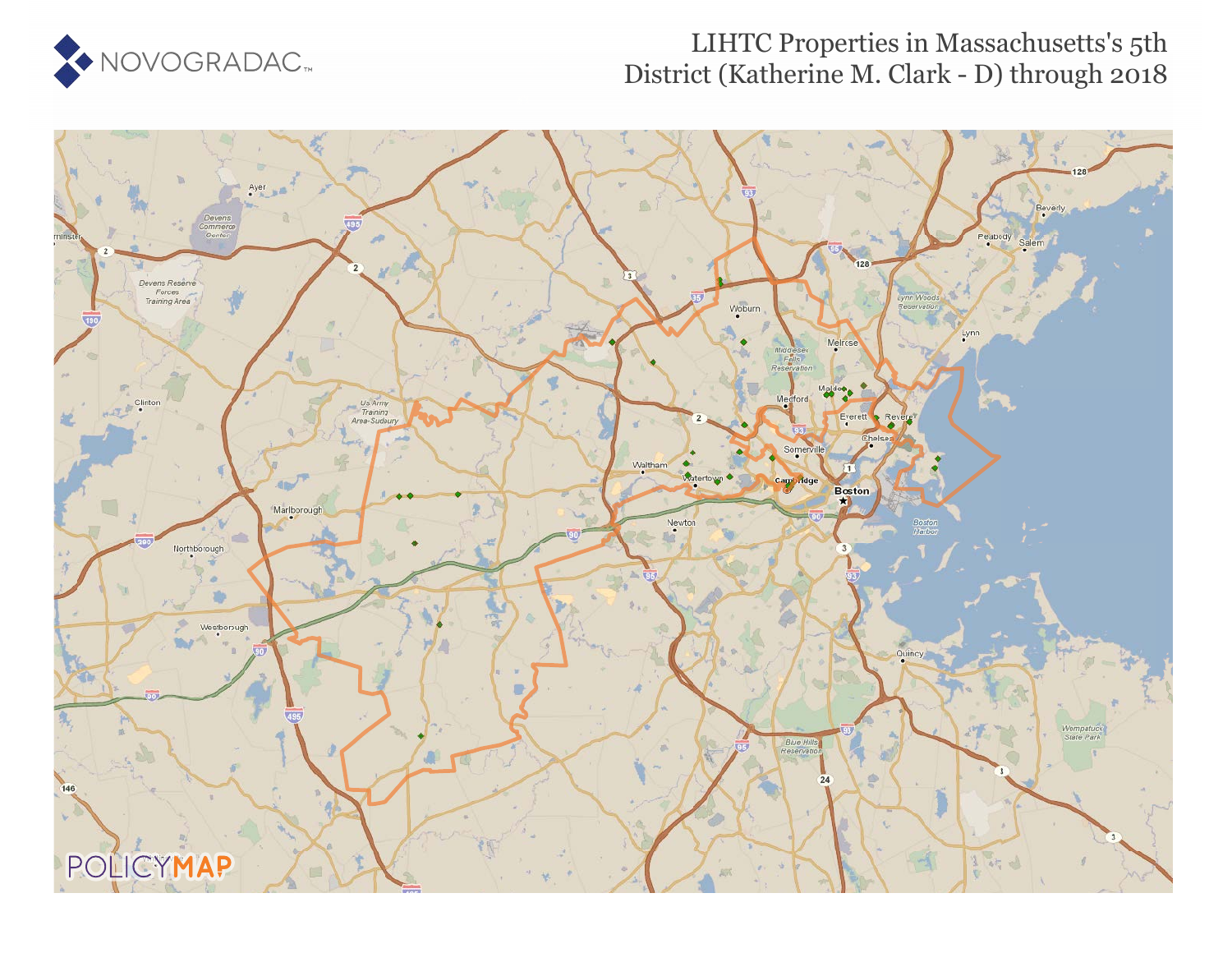

## LIHTC Properties in Massachusetts's 5th District (Katherine M. Clark - D) through 2018

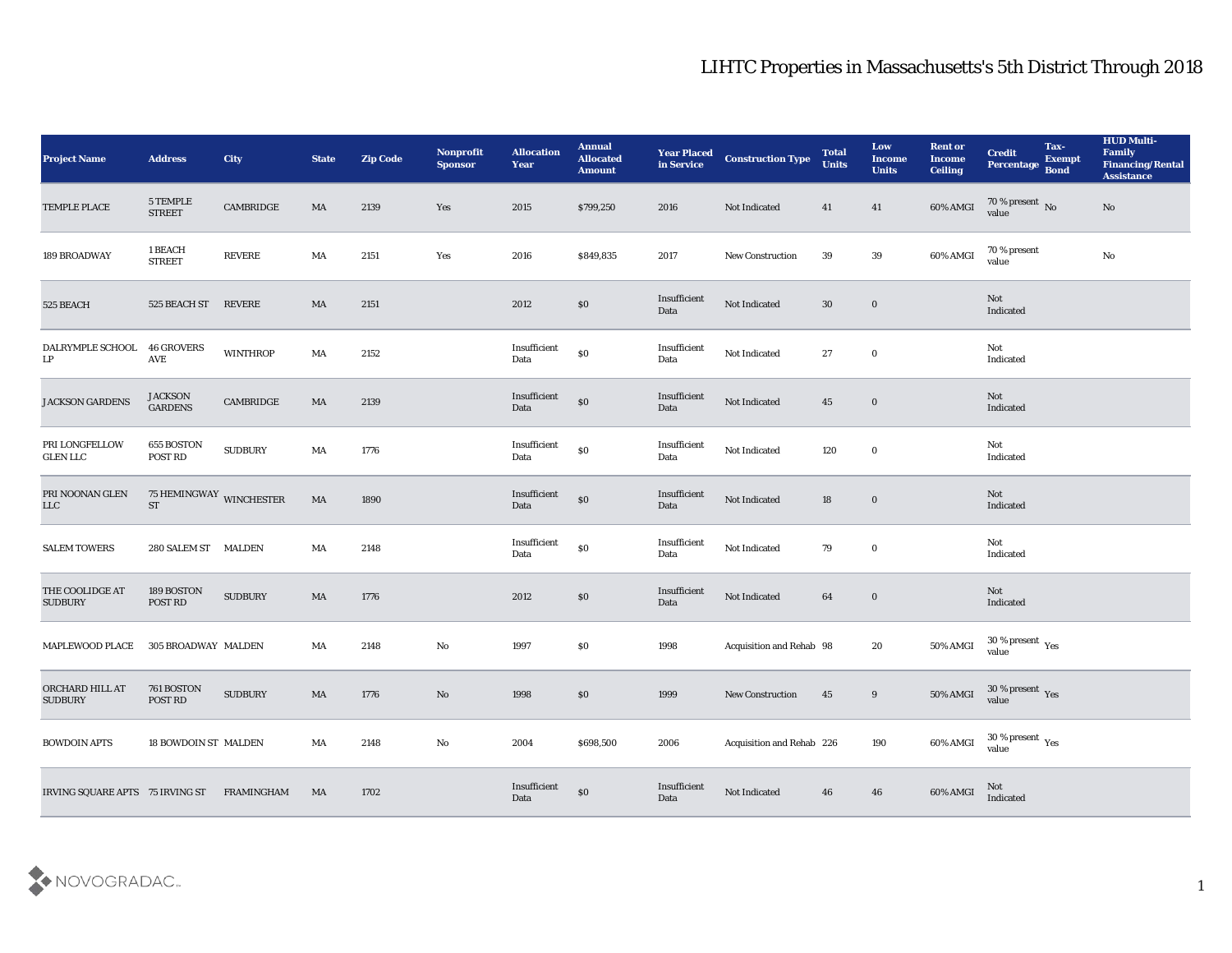## LIHTC Properties in Massachusetts's 5th District Through 2018

| <b>Project Name</b>               | <b>Address</b>                       | <b>City</b>                    | <b>State</b> | <b>Zip Code</b> | Nonprofit<br><b>Sponsor</b> | <b>Allocation</b><br><b>Year</b> | <b>Annual</b><br><b>Allocated</b><br><b>Amount</b> | <b>Year Placed</b><br>in Service | <b>Construction Type</b>  | <b>Total</b><br><b>Units</b> | Low<br><b>Income</b><br><b>Units</b> | <b>Rent or</b><br><b>Income</b><br><b>Ceiling</b> | <b>Credit</b><br>Percentage Bond         | Tax-<br><b>Exempt</b> | <b>HUD Multi-</b><br>Family<br><b>Financing/Rental</b><br><b>Assistance</b> |
|-----------------------------------|--------------------------------------|--------------------------------|--------------|-----------------|-----------------------------|----------------------------------|----------------------------------------------------|----------------------------------|---------------------------|------------------------------|--------------------------------------|---------------------------------------------------|------------------------------------------|-----------------------|-----------------------------------------------------------------------------|
| TEMPLE PLACE                      | 5 TEMPLE<br>$\tt STREF$              | $\mathop{\mathtt{CAMBRIDGE}}$  | MA           | 2139            | Yes                         | 2015                             | \$799,250                                          | 2016                             | Not Indicated             | 41                           | 41                                   | 60% AMGI                                          | 70 % present No<br>value                 |                       | No                                                                          |
| 189 BROADWAY                      | 1 BEACH<br><b>STREET</b>             | $\ensuremath{\mathsf{REVERE}}$ | MA           | 2151            | Yes                         | 2016                             | \$849,835                                          | 2017                             | New Construction          | 39                           | $39\,$                               | 60% AMGI                                          | 70 % present<br>value                    |                       | $\mathbf{N}\mathbf{o}$                                                      |
| 525 BEACH                         | 525 BEACH ST                         | REVERE                         | MA           | 2151            |                             | 2012                             | \$0                                                | Insufficient<br>Data             | Not Indicated             | $30\,$                       | $\bf{0}$                             |                                                   | Not<br>Indicated                         |                       |                                                                             |
| DALRYMPLE SCHOOL<br>LP            | <b>46 GROVERS</b><br>AVE             | <b>WINTHROP</b>                | MA           | $2152\,$        |                             | Insufficient<br>Data             | $\boldsymbol{\mathsf{S}}\boldsymbol{\mathsf{0}}$   | Insufficient<br>Data             | Not Indicated             | 27                           | $\bf{0}$                             |                                                   | Not<br>Indicated                         |                       |                                                                             |
| JACKSON GARDENS                   | <b>JACKSON</b><br><b>GARDENS</b>     | CAMBRIDGE                      | MA           | 2139            |                             | Insufficient<br>Data             | $\$0$                                              | Insufficient<br>Data             | Not Indicated             | 45                           | $\bf{0}$                             |                                                   | Not<br>Indicated                         |                       |                                                                             |
| PRI LONGFELLOW<br><b>GLEN LLC</b> | 655 BOSTON<br>POST RD                | <b>SUDBURY</b>                 | MA           | 1776            |                             | Insufficient<br>Data             | $\boldsymbol{\mathsf{S}}\boldsymbol{\mathsf{0}}$   | Insufficient<br>Data             | Not Indicated             | 120                          | $\bf{0}$                             |                                                   | Not<br>Indicated                         |                       |                                                                             |
| PRI NOONAN GLEN<br>${\rm LLC}$    | 75 HEMINGWAY WINCHESTER<br><b>ST</b> |                                | MA           | 1890            |                             | Insufficient<br>Data             | \$0                                                | Insufficient<br>Data             | Not Indicated             | 18                           | $\bf{0}$                             |                                                   | Not<br>Indicated                         |                       |                                                                             |
| <b>SALEM TOWERS</b>               | 280 SALEM ST MALDEN                  |                                | MA           | 2148            |                             | Insufficient<br>Data             | $\$0$                                              | Insufficient<br>Data             | Not Indicated             | 79                           | $\bf{0}$                             |                                                   | Not<br>Indicated                         |                       |                                                                             |
| THE COOLIDGE AT<br><b>SUDBURY</b> | 189 BOSTON<br>POST RD                | <b>SUDBURY</b>                 | MA           | 1776            |                             | 2012                             | \$0                                                | Insufficient<br>Data             | Not Indicated             | 64                           | $\bf{0}$                             |                                                   | Not<br>Indicated                         |                       |                                                                             |
| <b>MAPLEWOOD PLACE</b>            | 305 BROADWAY MALDEN                  |                                | MA           | 2148            | $\mathbf{No}$               | 1997                             | \$0                                                | 1998                             | Acquisition and Rehab 98  |                              | 20                                   | 50% AMGI                                          | $30\,\%$ present $\,$ Yes value          |                       |                                                                             |
| ORCHARD HILL AT<br><b>SUDBURY</b> | 761 BOSTON<br>POST RD                | <b>SUDBURY</b>                 | MA           | 1776            | No                          | 1998                             | \$0                                                | 1999                             | <b>New Construction</b>   | 45                           | 9                                    | 50% AMGI                                          | $30\,\%$ present $\,$ Yes value          |                       |                                                                             |
| <b>BOWDOIN APTS</b>               | 18 BOWDOIN ST MALDEN                 |                                | MA           | 2148            | $\mathbf {No}$              | 2004                             | \$698,500                                          | 2006                             | Acquisition and Rehab 226 |                              | 190                                  | 60% AMGI                                          | $30\,\%$ present $\,$ $\rm Yes$<br>value |                       |                                                                             |
| IRVING SQUARE APTS 75 IRVING ST   |                                      | FRAMINGHAM                     | MA           | 1702            |                             | Insufficient<br>Data             | \$0                                                | Insufficient<br>Data             | Not Indicated             | 46                           | 46                                   | 60% AMGI                                          | Not<br>Indicated                         |                       |                                                                             |

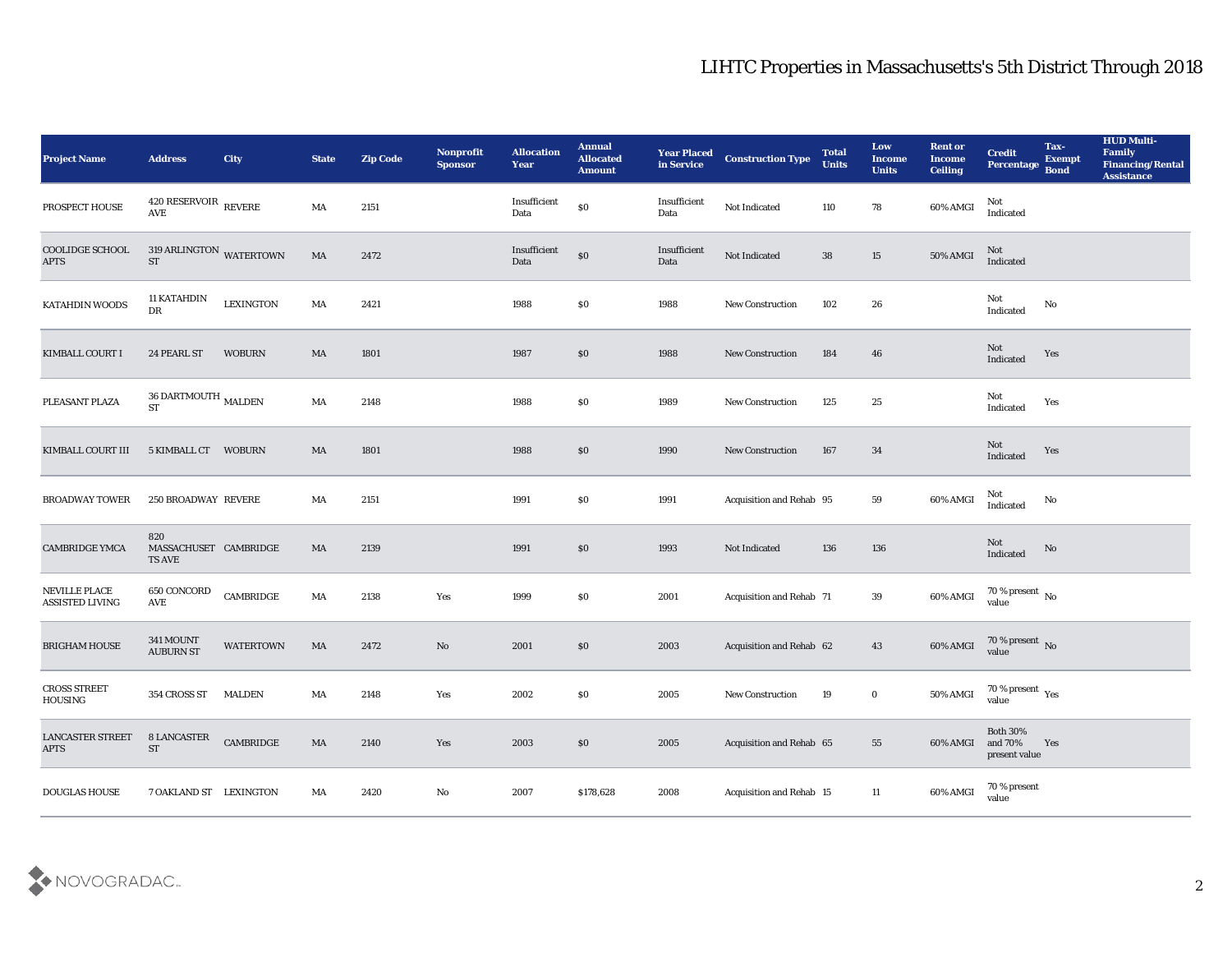## LIHTC Properties in Massachusetts's 5th District Through 2018

| Project Name                                   | <b>Address</b>                                      | <b>City</b>                                         | <b>State</b> | <b>Zip Code</b> | Nonprofit<br><b>Sponsor</b> | <b>Allocation</b><br><b>Year</b> | <b>Annual</b><br><b>Allocated</b><br><b>Amount</b> | <b>Year Placed</b><br>in Service | <b>Construction Type</b>        | <b>Total</b><br><b>Units</b> | Low<br><b>Income</b><br><b>Units</b> | <b>Rent or</b><br><b>Income</b><br><b>Ceiling</b> | <b>Credit</b><br>Percentage                | Tax-<br><b>Exempt</b><br><b>Bond</b> | <b>HUD Multi-</b><br>Family<br><b>Financing/Rental</b><br><b>Assistance</b> |
|------------------------------------------------|-----------------------------------------------------|-----------------------------------------------------|--------------|-----------------|-----------------------------|----------------------------------|----------------------------------------------------|----------------------------------|---------------------------------|------------------------------|--------------------------------------|---------------------------------------------------|--------------------------------------------|--------------------------------------|-----------------------------------------------------------------------------|
| PROSPECT HOUSE                                 | $420$ RESERVOIR $\,$ REVERE<br>$\operatorname{AVE}$ |                                                     | MA           | 2151            |                             | Insufficient<br>Data             | $\$0$                                              | Insufficient<br>Data             | Not Indicated                   | 110                          | 78                                   | 60% AMGI                                          | Not<br>Indicated                           |                                      |                                                                             |
| COOLIDGE SCHOOL<br><b>APTS</b>                 | 319 ARLINGTON WATERTOWN<br><b>ST</b>                |                                                     | MA           | 2472            |                             | Insufficient<br>Data             | $\$0$                                              | Insufficient<br>Data             | Not Indicated                   | 38                           | 15                                   | 50% AMGI                                          | Not<br>Indicated                           |                                      |                                                                             |
| KATAHDIN WOODS                                 | <b>11 KATAHDIN</b><br>DR                            | <b>LEXINGTON</b>                                    | MA           | 2421            |                             | 1988                             | \$0                                                | 1988                             | New Construction                | 102                          | 26                                   |                                                   | Not<br>Indicated                           | No                                   |                                                                             |
| KIMBALL COURT I                                | 24 PEARL ST                                         | <b>WOBURN</b>                                       | MA           | 1801            |                             | 1987                             | \$0                                                | 1988                             | <b>New Construction</b>         | 184                          | 46                                   |                                                   | Not<br>Indicated                           | Yes                                  |                                                                             |
| PLEASANT PLAZA                                 | $36$ DARTMOUTH $_{\rm MALDEN}$<br><b>ST</b>         |                                                     | MA           | 2148            |                             | 1988                             | \$0                                                | 1989                             | New Construction                | 125                          | 25                                   |                                                   | Not<br>Indicated                           | Yes                                  |                                                                             |
| KIMBALL COURT III                              | 5 KIMBALL CT WOBURN                                 |                                                     | MA           | 1801            |                             | 1988                             | \$0                                                | 1990                             | <b>New Construction</b>         | 167                          | 34                                   |                                                   | Not<br>Indicated                           | Yes                                  |                                                                             |
| <b>BROADWAY TOWER</b>                          | 250 BROADWAY REVERE                                 |                                                     | MA           | 2151            |                             | 1991                             | \$0                                                | 1991                             | Acquisition and Rehab 95        |                              | 59                                   | 60% AMGI                                          | Not<br>Indicated                           | No                                   |                                                                             |
| <b>CAMBRIDGE YMCA</b>                          | 820<br>MASSACHUSET CAMBRIDGE<br>TS AVE              |                                                     | MA           | 2139            |                             | 1991                             | $\$0$                                              | 1993                             | Not Indicated                   | 136                          | 136                                  |                                                   | <b>Not</b><br>Indicated                    | No                                   |                                                                             |
| <b>NEVILLE PLACE</b><br><b>ASSISTED LIVING</b> | 650 CONCORD<br>AVE                                  | CAMBRIDGE                                           | MA           | 2138            | Yes                         | 1999                             | \$0                                                | 2001                             | <b>Acquisition and Rehab 71</b> |                              | 39                                   | 60% AMGI                                          | $70\,\%$ present $\,$ No value             |                                      |                                                                             |
| <b>BRIGHAM HOUSE</b>                           | 341 MOUNT<br><b>AUBURN ST</b>                       | <b>WATERTOWN</b>                                    | MA           | 2472            | No                          | 2001                             | \$0                                                | 2003                             | Acquisition and Rehab 62        |                              | 43                                   | 60% AMGI                                          | $70$ % present $\,$ No value               |                                      |                                                                             |
| <b>CROSS STREET</b><br><b>HOUSING</b>          | 354 CROSS ST                                        | MALDEN                                              | MA           | 2148            | Yes                         | 2002                             | \$0                                                | 2005                             | <b>New Construction</b>         | 19                           | $\bf{0}$                             | 50% AMGI                                          | 70 % present $_{\rm Yes}$<br>value         |                                      |                                                                             |
| LANCASTER STREET<br><b>APTS</b>                | <b>8 LANCASTER</b><br>ST                            | $\begin{array}{lll} \textbf{CAMBRIDGE} \end{array}$ | MA           | 2140            | $\mathbf{Yes}$              | 2003                             | \$0                                                | 2005                             | Acquisition and Rehab 65        |                              | 55                                   | 60% AMGI                                          | Both $30\%$<br>and $70\%$<br>present value | Yes                                  |                                                                             |
| <b>DOUGLAS HOUSE</b>                           | 7 OAKLAND ST LEXINGTON                              |                                                     | MA           | 2420            | $\rm\, No$                  | 2007                             | \$178,628                                          | 2008                             | Acquisition and Rehab 15        |                              | 11                                   | 60% AMGI                                          | 70 % present<br>value                      |                                      |                                                                             |

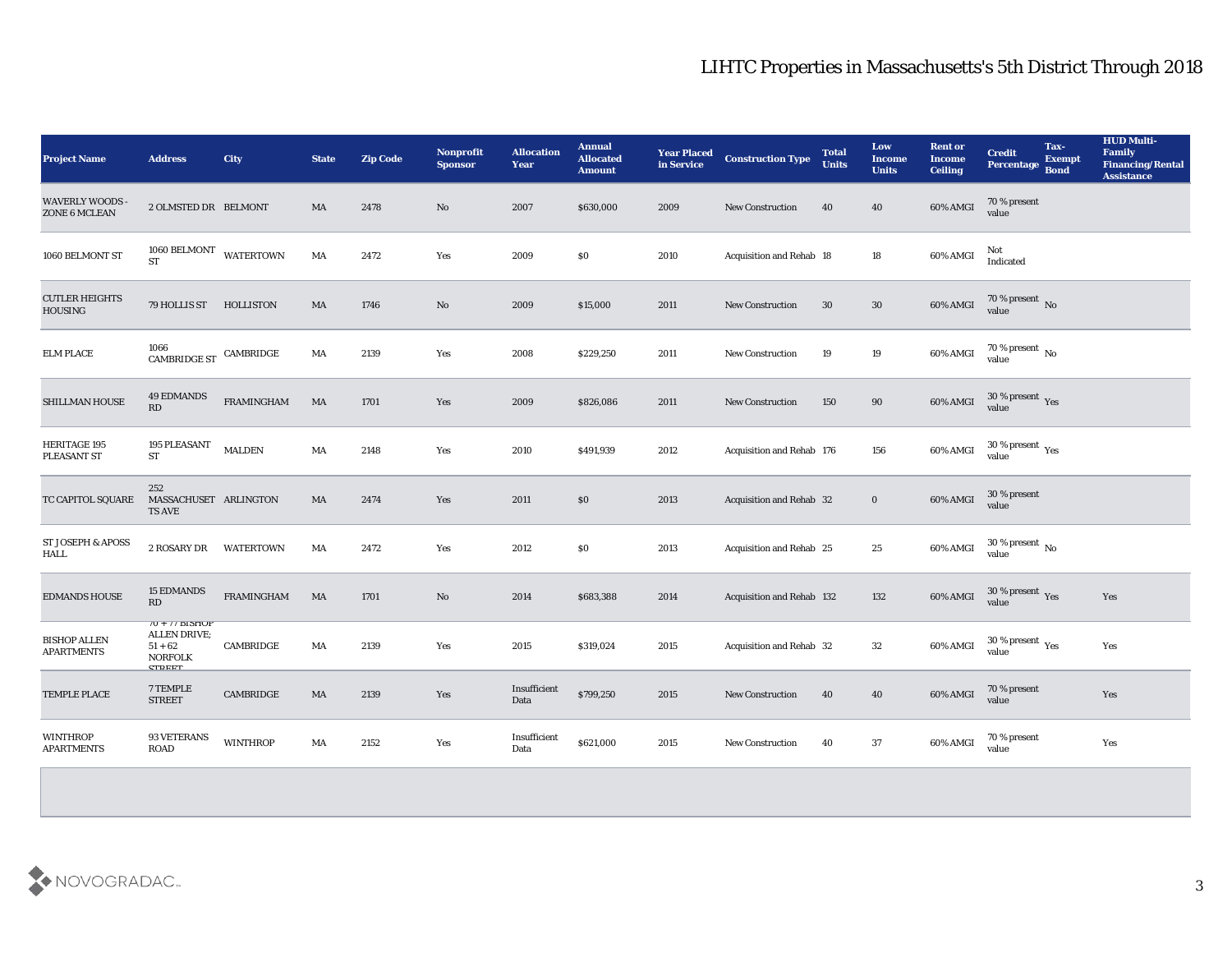| <b>Project Name</b>                      | <b>Address</b>                                                                                   | City              | <b>State</b> | <b>Zip Code</b> | <b>Nonprofit</b><br><b>Sponsor</b> | <b>Allocation</b><br><b>Year</b> | <b>Annual</b><br><b>Allocated</b><br><b>Amount</b> | <b>Year Placed<br/>in Service</b> | <b>Construction Type</b>         | <b>Total</b><br><b>Units</b> | Low<br><b>Income</b><br><b>Units</b> | <b>Rent or</b><br><b>Income</b><br><b>Ceiling</b> | <b>Credit</b><br><b>Percentage</b>       | Tax-<br><b>Exempt</b><br><b>Bond</b> | <b>HUD Multi-</b><br>Family<br><b>Financing/Rental</b><br><b>Assistance</b> |
|------------------------------------------|--------------------------------------------------------------------------------------------------|-------------------|--------------|-----------------|------------------------------------|----------------------------------|----------------------------------------------------|-----------------------------------|----------------------------------|------------------------------|--------------------------------------|---------------------------------------------------|------------------------------------------|--------------------------------------|-----------------------------------------------------------------------------|
| <b>WAVERLY WOODS -</b><br>ZONE 6 MCLEAN  | 2 OLMSTED DR BELMONT                                                                             |                   | MA           | 2478            | No                                 | 2007                             | \$630,000                                          | 2009                              | New Construction                 | 40                           | 40                                   | 60% AMGI                                          | 70 % present<br>value                    |                                      |                                                                             |
| 1060 BELMONT ST                          | $1060$ BELMONT<br><b>ST</b>                                                                      | <b>WATERTOWN</b>  | MA           | 2472            | Yes                                | 2009                             | \$0                                                | 2010                              | Acquisition and Rehab 18         |                              | 18                                   | 60% AMGI                                          | Not<br>Indicated                         |                                      |                                                                             |
| <b>CUTLER HEIGHTS</b><br>HOUSING         | 79 HOLLIS ST                                                                                     | <b>HOLLISTON</b>  | MA           | 1746            | $\mathbf{N}\mathbf{o}$             | 2009                             | \$15,000                                           | 2011                              | New Construction                 | 30                           | $30\,$                               | 60% AMGI                                          | $70$ % present $\,$ No value             |                                      |                                                                             |
| <b>ELM PLACE</b>                         | 1066<br>$\label{eq:co} \begin{array}{ll} \textrm{CAMBRIDGE} & \textrm{CAMBRIDGE} \\ \end{array}$ |                   | MA           | 2139            | Yes                                | 2008                             | \$229,250                                          | 2011                              | New Construction                 | 19                           | 19                                   | 60% AMGI                                          | $70\,\%$ present $\,$ No value           |                                      |                                                                             |
| SHILLMAN HOUSE                           | <b>49 EDMANDS</b><br>RD                                                                          | FRAMINGHAM        | MA           | 1701            | Yes                                | 2009                             | \$826,086                                          | 2011                              | <b>New Construction</b>          | 150                          | 90                                   | 60% AMGI                                          | $30\,\%$ present $\,$ Yes value          |                                      |                                                                             |
| HERITAGE 195<br>PLEASANT ST              | 195 PLEASANT<br><b>ST</b>                                                                        | <b>MALDEN</b>     | MA           | 2148            | Yes                                | 2010                             | \$491,939                                          | 2012                              | Acquisition and Rehab 176        |                              | 156                                  | 60% AMGI                                          | $30\,\%$ present $\,$ $\rm Yes$<br>value |                                      |                                                                             |
| TC CAPITOL SQUARE                        | 252<br>MASSACHUSET ARLINGTON<br><b>TS AVE</b>                                                    |                   | MA           | 2474            | Yes                                | 2011                             | \$0                                                | 2013                              | Acquisition and Rehab 32         |                              | $\bf{0}$                             | 60% AMGI                                          | 30 % present<br>value                    |                                      |                                                                             |
| ST JOSEPH & APOSS<br>HALL                | 2 ROSARY DR                                                                                      | <b>WATERTOWN</b>  | MA           | 2472            | Yes                                | 2012                             | $\$0$                                              | 2013                              | Acquisition and Rehab 25         |                              | 25                                   | 60% AMGI                                          | 30 % present $\,$ No $\,$<br>value       |                                      |                                                                             |
| <b>EDMANDS HOUSE</b>                     | <b>15 EDMANDS</b><br>RD                                                                          | <b>FRAMINGHAM</b> | MA           | 1701            | No                                 | 2014                             | \$683,388                                          | 2014                              | <b>Acquisition and Rehab 132</b> |                              | 132                                  | 60% AMGI                                          | $30\,\%$ present $\,$ Yes value          |                                      | Yes                                                                         |
| <b>BISHOP ALLEN</b><br><b>APARTMENTS</b> | $10 + 11$ DISTIUT<br><b>ALLEN DRIVE;</b><br>$51 + 62$<br><b>NORFOLK</b><br><b>CTDEET</b>         | CAMBRIDGE         | MA           | 2139            | Yes                                | 2015                             | \$319,024                                          | 2015                              | Acquisition and Rehab 32         |                              | 32                                   | 60% AMGI                                          | $30\,\%$ present $\,$ Yes value          |                                      | Yes                                                                         |
| TEMPLE PLACE                             | 7 TEMPLE<br><b>STREET</b>                                                                        | CAMBRIDGE         | MA           | 2139            | Yes                                | Insufficient<br>Data             | \$799,250                                          | 2015                              | New Construction                 | 40                           | 40                                   | 60% AMGI                                          | 70 % present<br>value                    |                                      | Yes                                                                         |
| <b>WINTHROP</b><br><b>APARTMENTS</b>     | 93 VETERANS<br><b>ROAD</b>                                                                       | <b>WINTHROP</b>   | MA           | 2152            | Yes                                | Insufficient<br>Data             | \$621,000                                          | 2015                              | <b>New Construction</b>          | 40                           | 37                                   | 60% AMGI                                          | 70 % present<br>value                    |                                      | Yes                                                                         |